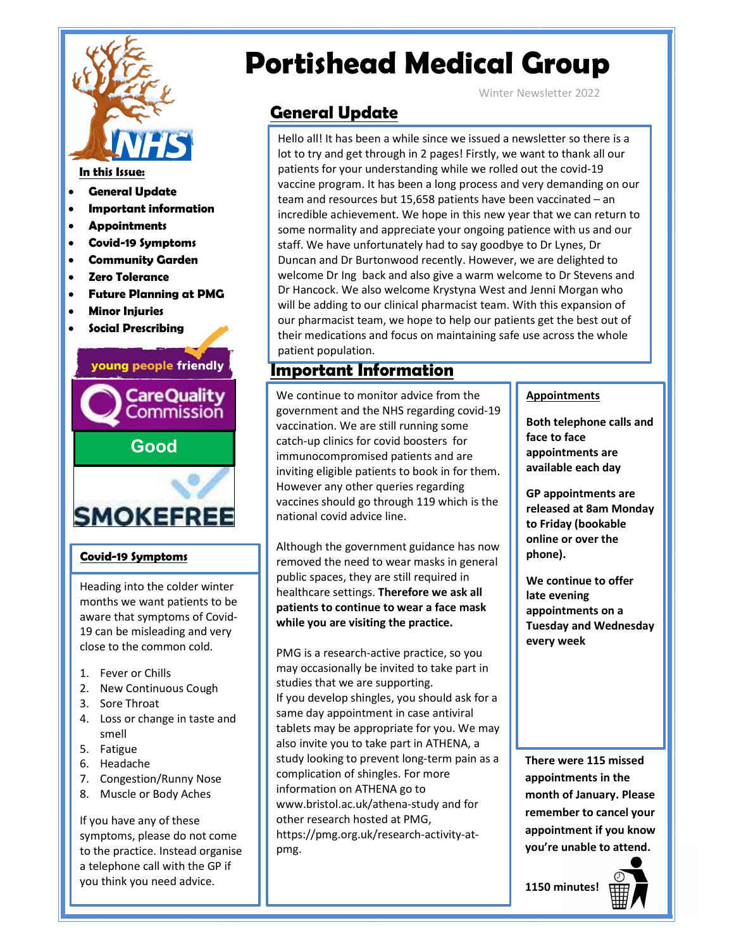

- General Update
- Important information
- **Appointments**
- Covid-19 Symptoms
- Community Garden
- Zero Tolerance
- Future Planning at PMG
- Minor Injuries
- Social Prescribing

### young people friendly



### Covid-19 Symptoms

Heading into the colder winter months we want patients to be aware that symptoms of Covid-19 can be misleading and very close to the common cold.

- 1. Fever or Chills
- 2. New Continuous Cough
- 3. Sore Throat
- 4. Loss or change in taste and smell
- 5. Fatigue
- 6. Headache
- 7. Congestion/Runny Nose | | compli
- 8. Muscle or Body Aches

If you have any of these symptoms, please do not come to the practice. Instead organise a telephone call with the GP if you think you need advice.

# Portishead Medical Group

Winter Newsletter 2022

### General Update

Hello all! It has been a while since we issued a newsletter so there is a lot to try and get through in 2 pages! Firstly, we want to thank all our patients for your understanding while we rolled out the covid-19 vaccine program. It has been a long process and very demanding on our team and resources but 15,658 patients have been vaccinated – an incredible achievement. We hope in this new year that we can return to some normality and appreciate your ongoing patience with us and our staff. We have unfortunately had to say goodbye to Dr Lynes, Dr Duncan and Dr Burtonwood recently. However, we are delighted to welcome Dr Ing back and also give a warm welcome to Dr Stevens and Dr Hancock. We also welcome Krystyna West and Jenni Morgan who will be adding to our clinical pharmacist team. With this expansion of our pharmacist team, we hope to help our patients get the best out of their medications and focus on maintaining safe use across the whole patient population.

### Important Information

We continue to monitor advice from the government and the NHS regarding covid-19 vaccination. We are still running some catch-up clinics for covid boosters for immunocompromised patients and are inviting eligible patients to book in for them. However any other queries regarding vaccines should go through 119 which is the national covid advice line.

Although the government guidance has now removed the need to wear masks in general public spaces, they are still required in healthcare settings. Therefore we ask all patients to continue to wear a face mask while you are visiting the practice.

PMG is a research-active practice, so you may occasionally be invited to take part in studies that we are supporting. If you develop shingles, you should ask for a same day appointment in case antiviral tablets may be appropriate for you. We may also invite you to take part in ATHENA, a study looking to prevent long-term pain as a complication of shingles. For more information on ATHENA go to www.bristol.ac.uk/athena-study and for other research hosted at PMG, https://pmg.org.uk/research-activity-atpmg.

### **Appointments**

Both telephone calls and face to face appointments are available each day

GP appointments are released at 8am Monday to Friday (bookable online or over the phone).

We continue to offer late evening appointments on a Tuesday and Wednesday every week

There were 115 missed appointments in the month of January. Please remember to cancel your appointment if you know you're unable to attend.

1150 minutes!